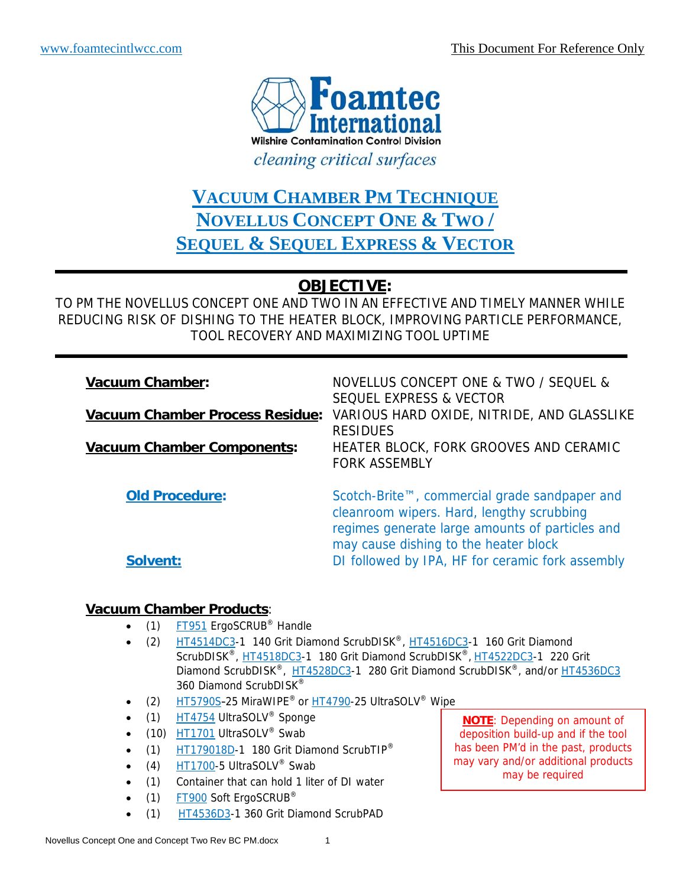ı



# **VACUUM CHAMBER PM TECHNIQUE NOVELLUS CONCEPT ONE & TWO / SEQUEL & SEQUEL EXPRESS & VECTOR**

## **OBJECTIVE:**

TO PM THE NOVELLUS CONCEPT ONE AND TWO IN AN EFFECTIVE AND TIMELY MANNER WHILE REDUCING RISK OF DISHING TO THE HEATER BLOCK, IMPROVING PARTICLE PERFORMANCE, TOOL RECOVERY AND MAXIMIZING TOOL UPTIME

| <b>Vacuum Chamber:</b><br><b>Vacuum Chamber Process Residue:</b><br><b>Vacuum Chamber Components:</b> | NOVELLUS CONCEPT ONE & TWO / SEQUEL &<br>SEQUEL EXPRESS & VECTOR<br>VARIOUS HARD OXIDE, NITRIDE, AND GLASSLIKE<br><b>RESIDUES</b><br>HEATER BLOCK, FORK GROOVES AND CERAMIC<br><b>FORK ASSEMBLY</b> |
|-------------------------------------------------------------------------------------------------------|-----------------------------------------------------------------------------------------------------------------------------------------------------------------------------------------------------|
| <b>Old Procedure:</b>                                                                                 | Scotch-Brite™, commercial grade sandpaper and<br>cleanroom wipers. Hard, lengthy scrubbing<br>regimes generate large amounts of particles and<br>may cause dishing to the heater block              |
| Solvent:                                                                                              | DI followed by IPA, HF for ceramic fork assembly                                                                                                                                                    |

#### **Vacuum Chamber Products**:

- (1) FT951 ErgoSCRUB® Handle
- (2) HT4514DC3-1 140 Grit Diamond ScrubDISK<sup>®</sup>, HT4516DC3-1 160 Grit Diamond ScrubDISK<sup>®</sup>, HT4518DC3-1 180 Grit Diamond ScrubDISK<sup>®</sup>, HT4522DC3-1 220 Grit Diamond ScrubDISK<sup>®</sup>, HT4528DC3-1 280 Grit Diamond ScrubDISK<sup>®</sup>, and/or HT4536DC3 360 Diamond ScrubDISK®
- (2)  $H$ T5790S-25 MiraWIPE<sup>®</sup> or  $H$ T4790-25 UltraSOLV<sup>®</sup> Wipe
- (1) HT4754 UltraSOLV<sup>®</sup> Sponge
- (10) HT1701 UltraSOLV® Swab
- (1) HT179018D-1 180 Grit Diamond ScrubTIP®
- (4) HT1700-5 UltraSOLV® Swab
- (1) Container that can hold 1 liter of DI water
- (1) FT900 Soft ErgoSCRUB<sup>®</sup>
- (1) HT4536D3-1 360 Grit Diamond ScrubPAD

**NOTE**: Depending on amount of deposition build-up and if the tool has been PM'd in the past, products may vary and/or additional products may be required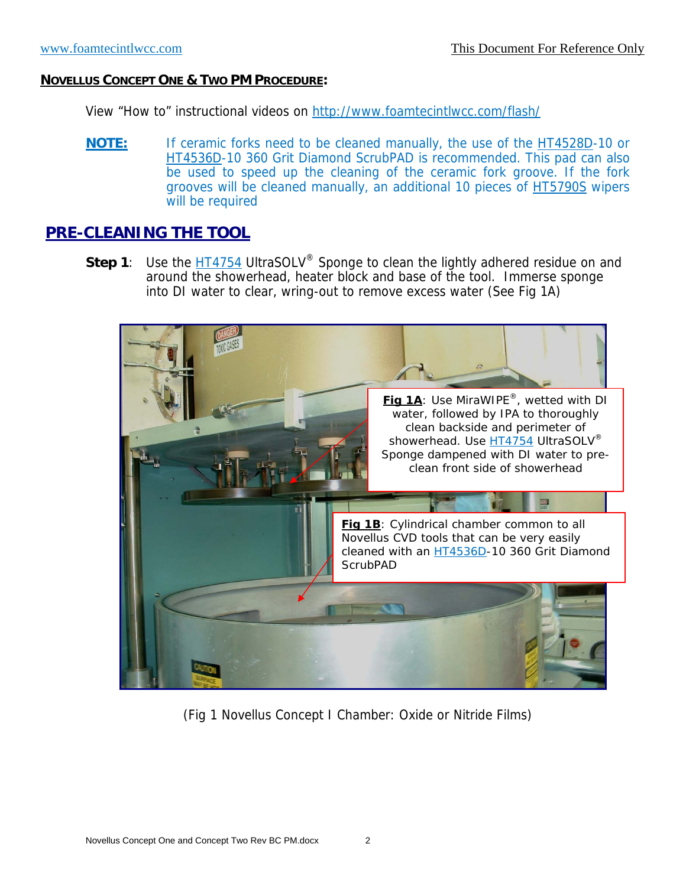#### **NOVELLUS CONCEPT ONE & TWO PM PROCEDURE:**

View "How to" instructional videos on http://www.foamtecintlwcc.com/flash/

**NOTE:** If ceramic forks need to be cleaned manually, the use of the HT4528D-10 or HT4536D-10 360 Grit Diamond ScrubPAD is recommended. This pad can also be used to speed up the cleaning of the ceramic fork groove. If the fork grooves will be cleaned manually, an additional 10 pieces of HT5790S wipers will be required

## **PRE-CLEANING THE TOOL**

**Step 1**: Use the **HT4754** UltraSOLV<sup>®</sup> Sponge to clean the lightly adhered residue on and around the showerhead, heater block and base of the tool. Immerse sponge into DI water to clear, wring-out to remove excess water (See Fig 1A)



(Fig 1 Novellus Concept I Chamber: Oxide or Nitride Films)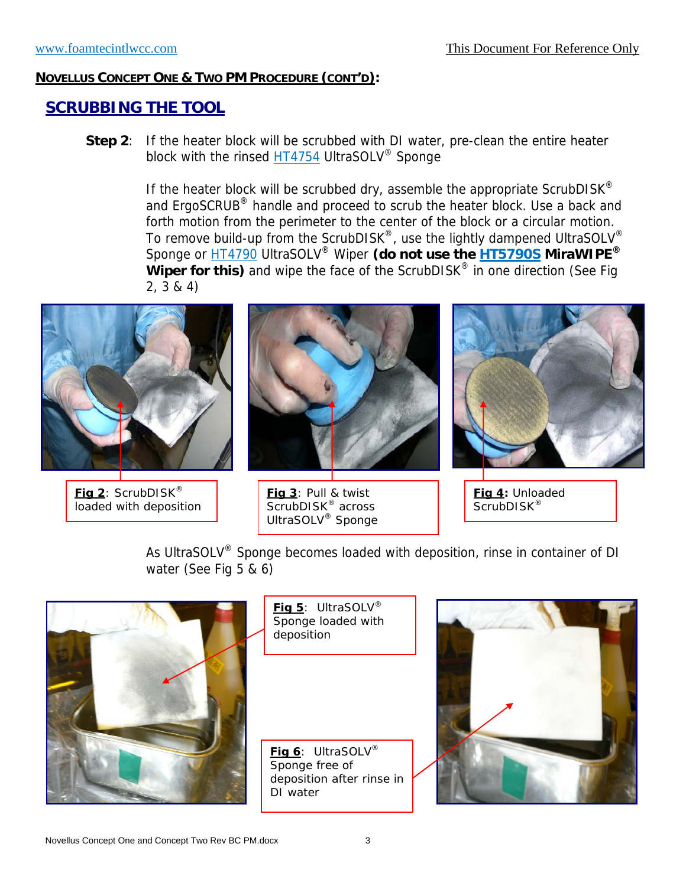## **SCRUBBING THE TOOL**

**Step 2**: If the heater block will be scrubbed with DI water, pre-clean the entire heater block with the rinsed HT4754 UltraSOLV<sup>®</sup> Sponge

> If the heater block will be scrubbed dry, assemble the appropriate ScrubDISK<sup>®</sup> and ErgoSCRUB® handle and proceed to scrub the heater block. Use a back and forth motion from the perimeter to the center of the block or a circular motion. To remove build-up from the ScrubDISK<sup>®</sup>, use the lightly dampened UltraSOLV<sup>®</sup> Sponge or HT4790 UltraSOLV® Wiper **(do not use the HT5790S MiraWIPE® Wiper for this)** and wipe the face of the ScrubDISK® in one direction (See Fig 2, 3 & 4)



loaded with deposition

ScrubDISK<sup>®</sup> across UltraSOLV® Sponge

 $\overline{\text{ScribDISK}}^{\circledR}$ 

As UltraSOLV<sup>®</sup> Sponge becomes loaded with deposition, rinse in container of DI water (See Fig 5 & 6)



**Fig 5**: UltraSOLV® Sponge loaded with deposition

**Fig 6**: UltraSOLV® Sponge free of deposition after rinse in DI water

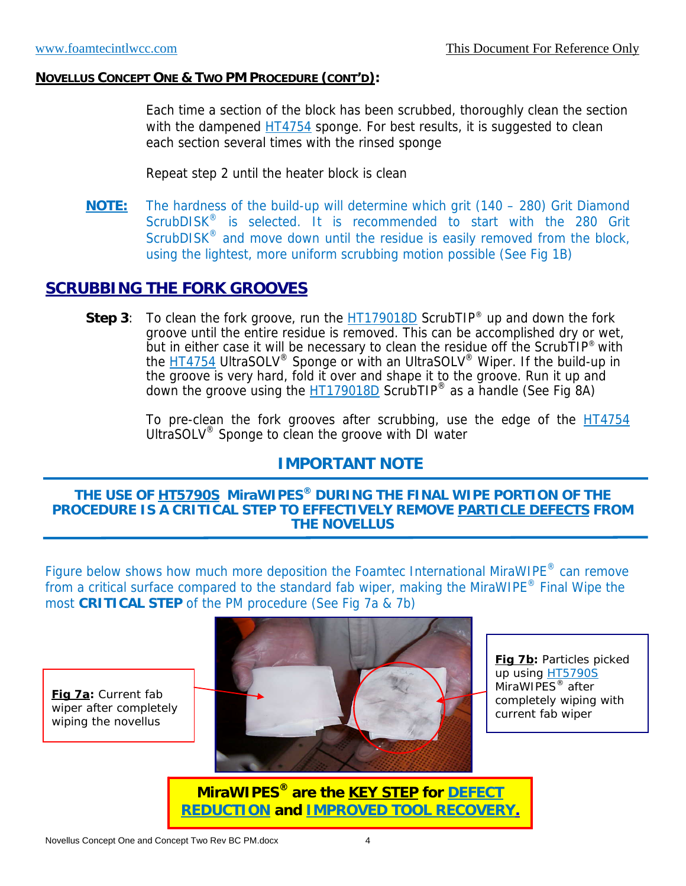Each time a section of the block has been scrubbed, thoroughly clean the section with the dampened  $H$ T4754 sponge. For best results, it is suggested to clean each section several times with the rinsed sponge

Repeat step 2 until the heater block is clean

**NOTE:** The hardness of the build-up will determine which grit (140 – 280) Grit Diamond ScrubDISK<sup>®</sup> is selected. It is recommended to start with the 280 Grit ScrubDISK<sup>®</sup> and move down until the residue is easily removed from the block, using the lightest, more uniform scrubbing motion possible (See Fig 1B)

## **SCRUBBING THE FORK GROOVES**

**Step 3**: To clean the fork groove, run the **HT179018D** ScrubTIP<sup>®</sup> up and down the fork groove until the entire residue is removed. This can be accomplished dry or wet, but in either case it will be necessary to clean the residue off the ScrubTIP<sup>®</sup> with the HT4754 UltraSOLV<sup>®</sup> Sponge or with an UltraSOLV<sup>®</sup> Wiper. If the build-up in the groove is very hard, fold it over and shape it to the groove. Run it up and down the groove using the HT179018D ScrubTIP® as a handle (See Fig 8A)

> To pre-clean the fork grooves after scrubbing, use the edge of the **HT4754** UltraSOLV® Sponge to clean the groove with DI water

## **IMPORTANT NOTE**

## **THE USE OF HT5790S MiraWIPES® DURING THE FINAL WIPE PORTION OF THE PROCEDURE IS A CRITICAL STEP TO EFFECTIVELY REMOVE PARTICLE DEFECTS FROM THE NOVELLUS**

Figure below shows how much more deposition the Foamtec International MiraWIPE $^{\circ}$  can remove from a critical surface compared to the standard fab wiper, making the MiraWIPE® Final Wipe the most **CRITICAL STEP** of the PM procedure (See Fig 7a & 7b)

**Fig 7a:** Current fab wiper after completely wiping the novellus



**Fig 7b:** Particles picked up using HT5790S MiraWIPES<sup>®</sup> after completely wiping with current fab wiper

**MiraWIPES® are the KEY STEP for DEFECT REDUCTION and IMPROVED TOOL RECOVERY.**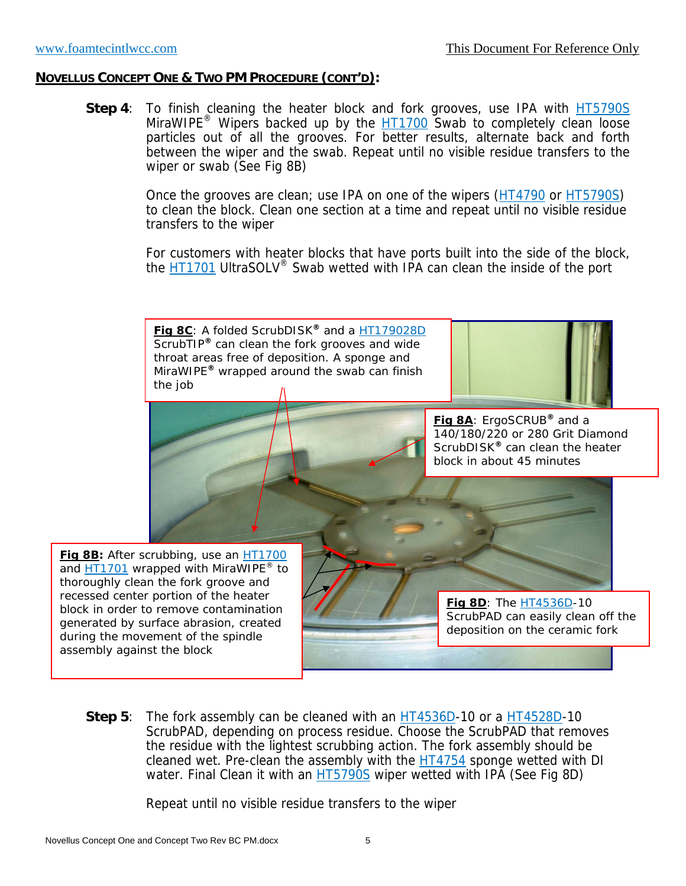**Step 4**: To finish cleaning the heater block and fork grooves, use IPA with **HT5790S** MiraWIPE<sup>®</sup> Wipers backed up by the  $H$ <sup>1700</sup> Swab to completely clean loose particles out of all the grooves. For better results, alternate back and forth between the wiper and the swab. Repeat until no visible residue transfers to the wiper or swab (See Fig 8B)

> Once the grooves are clean; use IPA on one of the wipers (HT4790 or HT5790S) to clean the block. Clean one section at a time and repeat until no visible residue transfers to the wiper

> For customers with heater blocks that have ports built into the side of the block, the HT1701 UltraSOLV<sup>®</sup> Swab wetted with IPA can clean the inside of the port



**Step 5**: The fork assembly can be cleaned with an HT4536D-10 or a HT4528D-10 ScrubPAD, depending on process residue. Choose the ScrubPAD that removes the residue with the lightest scrubbing action. The fork assembly should be cleaned wet. Pre-clean the assembly with the  $H$ <sup>14754</sup> sponge wetted with DI water. Final Clean it with an **HT5790S** wiper wetted with IPA (See Fig 8D)

Repeat until no visible residue transfers to the wiper